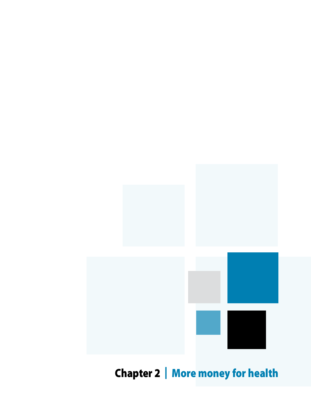

Chapter 2 | More money for health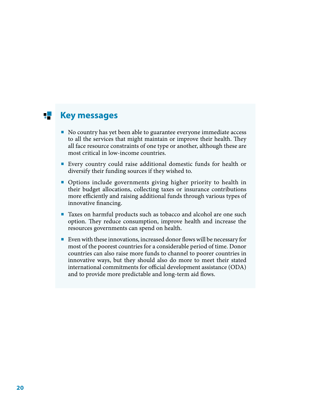#### **Key messages** 75.

- No country has yet been able to guarantee everyone immediate access to all the services that might maintain or improve their health. They all face resource constraints of one type or another, although these are most critical in low-income countries.
- Every country could raise additional domestic funds for health or diversify their funding sources if they wished to.
- Options include governments giving higher priority to health in their budget allocations, collecting taxes or insurance contributions more efficiently and raising additional funds through various types of innovative financing.
- Taxes on harmful products such as tobacco and alcohol are one such option. They reduce consumption, improve health and increase the resources governments can spend on health.
- Even with these innovations, increased donor flows will be necessary for most of the poorest countries for a considerable period of time. Donor countries can also raise more funds to channel to poorer countries in innovative ways, but they should also do more to meet their stated international commitments for official development assistance (ODA) and to provide more predictable and long-term aid flows.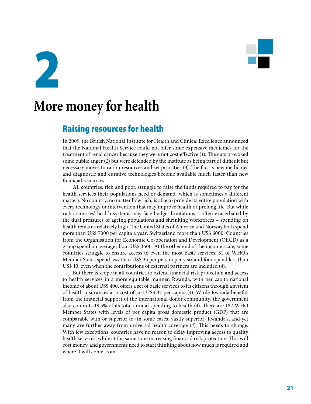

2

# **More money for health**

### Raising resources for health

In 2009, the British National Institute for Health and Clinical Excellence announced that the National Health Service could not offer some expensive medicines for the treatment of renal cancer because they were not cost effective (*1*). The cuts provoked some public anger (*2*) but were defended by the institute as being part of difficult but necessary moves to ration resources and set priorities (*3*). The fact is new medicines and diagnostic and curative technologies become available much faster than new financial resources.

All countries, rich and poor, struggle to raise the funds required to pay for the health services their populations need or demand (which is sometimes a different matter). No country, no matter how rich, is able to provide its entire population with every technology or intervention that may improve health or prolong life. But while rich countries' health systems may face budget limitations – often exacerbated by the dual pressures of ageing populations and shrinking workforces – spending on health remains relatively high. The United States of America and Norway both spend more than US\$ 7000 per capita a year; Switzerland more than US\$ 6000. Countries from the Organisation for Economic Co-operation and Development (OECD) as a group spend on average about US\$ 3600. At the other end of the income scale, some countries struggle to ensure access to even the most basic services: 31 of WHO's Member States spend less than US\$ 35 per person per year and four spend less than US\$ 10, even when the contributions of external partners are included (*4*).

But there is scope in all countries to extend financial risk protection and access to health services in a more equitable manner. Rwanda, with per capita national income of about US\$ 400, offers a set of basic services to its citizens through a system of health insurances at a cost of just US\$ 37 per capita (*4*). While Rwanda benefits from the financial support of the international donor community, the government also commits 19.5% of its total annual spending to health (*4*). There are 182 WHO Member States with levels of per capita gross domestic product (GDP) that are comparable with or superior to (in some cases, vastly superior) Rwanda's, and yet many are further away from universal health coverage (*4*). This needs to change. With few exceptions, countries have no reason to delay improving access to quality health services, while at the same time increasing financial risk protection. This will cost money, and governments need to start thinking about how much is required and where it will come from.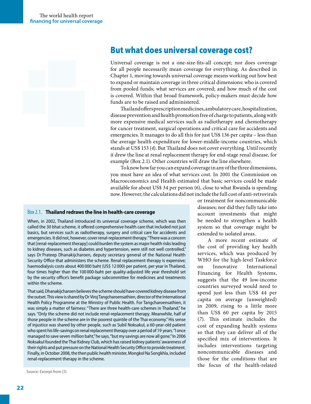

### But what does universal coverage cost?

Universal coverage is not a one-size-fits-all concept; nor does coverage for all people necessarily mean coverage for everything. As described in Chapter 1, moving towards universal coverage means working out how best to expand or maintain coverage in three critical dimensions: who is covered from pooled funds; what services are covered; and how much of the cost is covered. Within that broad framework, policy-makers must decide how funds are to be raised and administered.

Thailand offers prescription medicines, ambulatory care, hospitalization, disease prevention and health promotion free of charge to patients, along with more expensive medical services such as radiotherapy and chemotherapy for cancer treatment, surgical operations and critical care for accidents and emergencies. It manages to do all this for just US\$ 136 per capita – less than the average health expenditure for lower-middle-income countries, which stands at US\$ 153 (*4*). But Thailand does not cover everything. Until recently it drew the line at renal replacement therapy for end-stage renal disease, for example (Box 2.1). Other countries will draw the line elsewhere.

To know how far you can expand coverage in any of the three dimensions, you must have an idea of what services cost. In 2001 the Commission on Macroeconomics and Health estimated that basic services could be made available for about US\$ 34 per person (*6*), close to what Rwanda is spending now. However, the calculations did not include the full cost of anti-retrovirals

#### Box 2.1. **Thailand redraws the line in health-care coverage**

When, in 2002, Thailand introduced its universal coverage scheme, which was then called the 30 bhat scheme, it offered comprehensive health care that included not just basics, but services such as radiotherapy, surgery and critical care for accidents and emergencies. It did not, however, cover renal-replacement therapy. "There was a concern that [renal-replacement therapy] could burden the system as major health risks leading to kidney diseases, such as diabetes and hypertension, were still not well controlled," says Dr Prateep Dhanakijcharoen, deputy secretary general of the National Health Security Office that administers the scheme. Renal replacement therapy is expensive; haemodialysis costs about 400 000 baht (US\$ 12 000) per patient, per year in Thailand, four times higher than the 100 000-baht per quality-adjusted life year threshold set by the security office's benefit package subcommittee for medicines and treatments within the scheme.

That said, Dhanakijcharoen believes the scheme should have covered kidney disease from the outset. This view is shared by Dr Viroj Tangcharoensathien, director of the International Health Policy Programme at the Ministry of Public Health. For Tangcharoensathien, it was simply a matter of fairness: "There are three health-care schemes in Thailand," he says. "Only the scheme did not include renal-replacement therapy. Meanwhile, half of those people in the scheme are in the poorest quintile of the Thai economy." His sense of injustice was shared by other people, such as Subil Noksakul, a 60-year-old patient who spent his life-savings on renal replacement therapy over a period of 19 years. "I once managed to save seven million baht," he says, "but my savings are now all gone." In 2006 Noksakul founded the Thai Kidney Club, which has raised kidney patients' awareness of their rights and put pressure on the National Health Security Office to provide treatment. Finally, in October 2008, the then public health minister, Mongkol Na Songkhla, included renal-replacement therapy in the scheme.

Source: Excerpt from (*5*).

or treatment for noncommunicable diseases; nor did they fully take into account investments that might be needed to strengthen a health system so that coverage might be extended to isolated areas.

A more recent estimate of the cost of providing key health services, which was produced by WHO for the high-level Taskforce on Innovative International Financing for Health Systems, suggests that the 49 low-income countries surveyed would need to spend just less than US\$ 44 per capita on average (unweighted) in 2009, rising to a little more than US\$ 60 per capita by 2015 (*7*). This estimate includes the cost of expanding health systems so that they can deliver all of the specified mix of interventions. It includes interventions targeting noncommunicable diseases and those for the conditions that are the focus of the health-related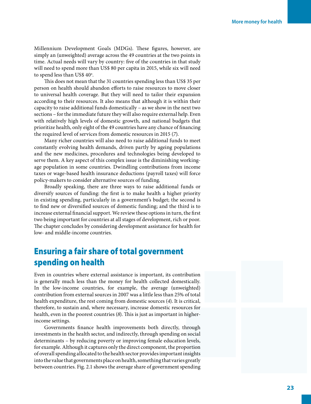Millennium Development Goals (MDGs). These figures, however, are simply an (unweighted) average across the 49 countries at the two points in time. Actual needs will vary by country: five of the countries in that study will need to spend more than US\$ 80 per capita in 2015, while six will need to spend less than US\$  $40^{\circ}$ .

This does not mean that the 31 countries spending less than US\$ 35 per person on health should abandon efforts to raise resources to move closer to universal health coverage. But they will need to tailor their expansion according to their resources. It also means that although it is within their capacity to raise additional funds domestically – as we show in the next two sections – for the immediate future they will also require external help. Even with relatively high levels of domestic growth, and national budgets that prioritize health, only eight of the 49 countries have any chance of financing the required level of services from domestic resources in 2015 (*7*).

Many richer countries will also need to raise additional funds to meet constantly evolving health demands, driven partly by ageing populations and the new medicines, procedures and technologies being developed to serve them. A key aspect of this complex issue is the diminishing workingage population in some countries. Dwindling contributions from income taxes or wage-based health insurance deductions (payroll taxes) will force policy-makers to consider alternative sources of funding.

Broadly speaking, there are three ways to raise additional funds or diversify sources of funding: the first is to make health a higher priority in existing spending, particularly in a government's budget; the second is to find new or diversified sources of domestic funding; and the third is to increase external financial support. We review these options in turn, the first two being important for countries at all stages of development, rich or poor. The chapter concludes by considering development assistance for health for low- and middle-income countries.

# Ensuring a fair share of total government spending on health

Even in countries where external assistance is important, its contribution is generally much less than the money for health collected domestically. In the low-income countries, for example, the average (unweighted) contribution from external sources in 2007 was a little less than 25% of total health expenditure, the rest coming from domestic sources (*4*). It is critical, therefore, to sustain and, where necessary, increase domestic resources for health, even in the poorest countries (*8*). This is just as important in higherincome settings.

Governments finance health improvements both directly, through investments in the health sector, and indirectly, through spending on social determinants – by reducing poverty or improving female education levels, for example. Although it captures only the direct component, the proportion of overall spending allocated to the health sector provides important insights into the value that governments place on health, something that varies greatly between countries. Fig. 2.1 shows the average share of government spending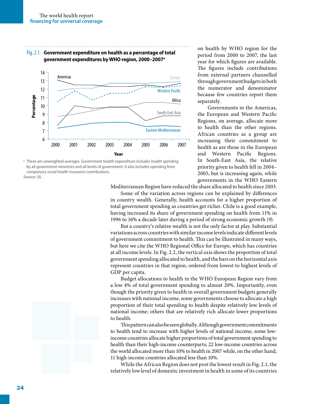



These are unweighted averages. Government health expenditure includes health spending by all government ministries and all levels of government. It also includes spending from compulsory social health insurance contributions. Source: (*4*).

on health by WHO region for the period from 2000 to 2007, the last year for which figures are available. The figures include contributions from external partners channelled through government budgets in both the numerator and denominator because few countries report them separately.

Governments in the Americas, the European and Western Pacific Regions, on average, allocate more to health than the other regions. African countries as a group are increasing their commitment to health as are those in the European<br>and Western Pacific Regions. Pacific Regions. In South-East Asia, the relative priority given to health fell in 2004– 2005, but is increasing again, while governments in the WHO Eastern

Mediterranean Region have reduced the share allocated to health since 2003.

Some of the variation across regions can be explained by differences in country wealth. Generally, health accounts for a higher proportion of total government spending as countries get richer. Chile is a good example, having increased its share of government spending on health from 11% in 1996 to 16% a decade later during a period of strong economic growth (*9*).

But a country's relative wealth is not the only factor at play. Substantial variations across countries with similar income levels indicate different levels of government commitment to health. This can be illustrated in many ways, but here we cite the WHO Regional Office for Europe, which has countries at all income levels. In Fig. 2.2, the vertical axis shows the proportion of total government spending allocated to health, and the bars on the horizontal axis represent countries in that region, ordered from lowest to highest levels of GDP per capita.

Budget allocations to health in the WHO European Region vary from a low 4% of total government spending to almost 20%. Importantly, even though the priority given to health in overall government budgets generally increases with national income, some governments choose to allocate a high proportion of their total spending to health despite relatively low levels of national income; others that are relatively rich allocate lower proportions to health.

This pattern can also be seen globally. Although government commitments to health tend to increase with higher levels of national income, some lowincome countries allocate higher proportions of total government spending to health than their high-income counterparts; 22 low-income countries across the world allocated more than 10% to health in 2007 while, on the other hand, 11 high-income countries allocated less than 10%.

While the African Region does not post the lowest result in Fig. 2.1, the relatively low level of domestic investment in health in some of its countries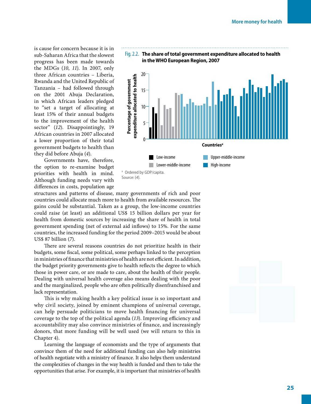is cause for concern because it is in sub-Saharan Africa that the slowest progress has been made towards the MDGs (*10*, *11*). In 2007, only three African countries – Liberia, Rwanda and the United Republic of Tanzania – had followed through on the 2001 Abuja Declaration, in which African leaders pledged to "set a target of allocating at least 15% of their annual budgets to the improvement of the health sector" (12). Disappointingly, 19 African countries in 2007 allocated a lower proportion of their total government budgets to health than they did before Abuja (*4*).

Governments have, therefore, the option to re-examine budget priorities with health in mind. Although funding needs vary with differences in costs, population age

Fig. 2.2. **The share of total government expenditure allocated to health in the WHO European Region, 2007**



Source: (*4*).

structures and patterns of disease, many governments of rich and poor countries could allocate much more to health from available resources. The gains could be substantial. Taken as a group, the low-income countries could raise (at least) an additional US\$ 15 billion dollars per year for health from domestic sources by increasing the share of health in total government spending (net of external aid inflows) to 15%. For the same countries, the increased funding for the period 2009–2015 would be about US\$ 87 billion (*7*).

There are several reasons countries do not prioritize health in their budgets, some fiscal, some political, some perhaps linked to the perception in ministries of finance that ministries of health are not efficient. In addition, the budget priority governments give to health reflects the degree to which those in power care, or are made to care, about the health of their people. Dealing with universal health coverage also means dealing with the poor and the marginalized, people who are often politically disenfranchised and lack representation.

This is why making health a key political issue is so important and why civil society, joined by eminent champions of universal coverage, can help persuade politicians to move health financing for universal coverage to the top of the political agenda (*13*). Improving efficiency and accountability may also convince ministries of finance, and increasingly donors, that more funding will be well used (we will return to this in Chapter 4).

Learning the language of economists and the type of arguments that convince them of the need for additional funding can also help ministries of health negotiate with a ministry of finance. It also helps them understand the complexities of changes in the way health is funded and then to take the opportunities that arise. For example, it is important that ministries of health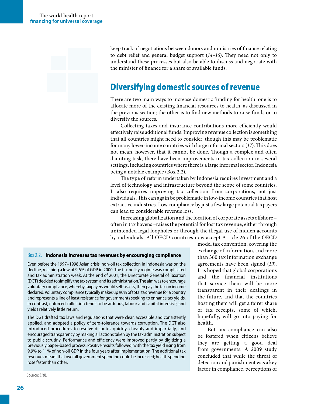keep track of negotiations between donors and ministries of finance relating to debt relief and general budget support (*14*–*16*). They need not only to understand these processes but also be able to discuss and negotiate with the minister of finance for a share of available funds.

# Diversifying domestic sources of revenue

There are two main ways to increase domestic funding for health: one is to allocate more of the existing financial resources to health, as discussed in the previous section; the other is to find new methods to raise funds or to diversify the sources.

Collecting taxes and insurance contributions more efficiently would effectively raise additional funds. Improving revenue collection is something that all countries might need to consider, though this may be problematic for many lower-income countries with large informal sectors (*17*). This does not mean, however, that it cannot be done. Though a complex and often daunting task, there have been improvements in tax collection in several settings, including countries where there is a large informal sector, Indonesia being a notable example (Box 2.2).

The type of reform undertaken by Indonesia requires investment and a level of technology and infrastructure beyond the scope of some countries. It also requires improving tax collection from corporations, not just individuals. This can again be problematic in low-income countries that host extractive industries. Low compliance by just a few large potential taxpayers can lead to considerable revenue loss.

Increasing globalization and the location of corporate assets offshore – often in tax havens –raises the potential for lost tax revenue, either through unintended legal loopholes or through the illegal use of hidden accounts by individuals. All OECD countries now accept Article 26 of the OECD

#### Box 2.2. **Indonesia increases tax revenues by encouraging compliance**

Even before the 1997–1998 Asian crisis, non-oil tax collection in Indonesia was on the decline, reaching a low of 9.6% of GDP in 2000. The tax policy regime was complicated and tax administration weak. At the end of 2001, the Directorate General of Taxation (DGT) decided to simplify the tax system and its administration. The aim was to encourage voluntary compliance, whereby taxpayers would self-assess, then pay the tax on income declared. Voluntary compliance typically makes up 90% of total tax revenue for a country and represents a line of least resistance for governments seeking to enhance tax yields. In contrast, enforced collection tends to be arduous, labour and capital intensive, and yields relatively little return.

The DGT drafted tax laws and regulations that were clear, accessible and consistently applied, and adopted a policy of zero-tolerance towards corruption. The DGT also introduced procedures to resolve disputes quickly, cheaply and impartially, and encouraged transparency by making all actions taken by the tax administration subject to public scrutiny. Performance and efficiency were improved partly by digitizing a previously paper-based process. Positive results followed, with the tax yield rising from 9.9% to 11% of non-oil GDP in the four years after implementation. The additional tax revenues meant that overall government spending could be increased; health spending rose faster than other.

Source: (*18*).

model tax convention, covering the exchange of information, and more than 360 tax information exchange agreements have been signed (*19*). It is hoped that global corporations and the financial institutions that service them will be more transparent in their dealings in the future, and that the countries hosting them will get a fairer share of tax receipts, some of which, hopefully, will go into paying for health.

But tax compliance can also be fostered when citizens believe they are getting a good deal from governments. A 2009 study concluded that while the threat of detection and punishment was a key factor in compliance, perceptions of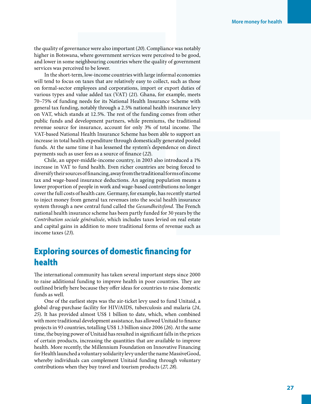the quality of governance were also important (*20*). Compliance was notably higher in Botswana, where government services were perceived to be good, and lower in some neighbouring countries where the quality of government services was perceived to be lower.

In the short-term, low-income countries with large informal economies will tend to focus on taxes that are relatively easy to collect, such as those on formal-sector employees and corporations, import or export duties of various types and value added tax (VAT) (*21*). Ghana, for example, meets 70–75% of funding needs for its National Health Insurance Scheme with general tax funding, notably through a 2.5% national health insurance levy on VAT, which stands at 12.5%. The rest of the funding comes from other public funds and development partners, while premiums, the traditional revenue source for insurance, account for only 3% of total income. The VAT-based National Health Insurance Scheme has been able to support an increase in total health expenditure through domestically generated pooled funds. At the same time it has lessened the system's dependence on direct payments such as user fees as a source of finance (*22*).

Chile, an upper-middle-income country, in 2003 also introduced a 1% increase in VAT to fund health. Even richer countries are being forced to diversify their sources of financing, away from the traditional forms of income tax and wage-based insurance deductions. An ageing population means a lower proportion of people in work and wage-based contributions no longer cover the full costs of health care. Germany, for example, has recently started to inject money from general tax revenues into the social health insurance system through a new central fund called the *Gesundheitsfond*. The French national health insurance scheme has been partly funded for 30 years by the *Contribution sociale généralisée*, which includes taxes levied on real estate and capital gains in addition to more traditional forms of revenue such as income taxes (*23*).

## Exploring sources of domestic financing for health

The international community has taken several important steps since 2000 to raise additional funding to improve health in poor countries. They are outlined briefly here because they offer ideas for countries to raise domestic funds as well.

One of the earliest steps was the air-ticket levy used to fund Unitaid, a global drug-purchase facility for HIV/AIDS, tuberculosis and malaria (*24*, *25*). It has provided almost US\$ 1 billion to date, which, when combined with more traditional development assistance, has allowed Unitaid to finance projects in 93 countries, totalling US\$ 1.3 billion since 2006 (*26*). At the same time, the buying power of Unitaid has resulted in significant falls in the prices of certain products, increasing the quantities that are available to improve health. More recently, the Millennium Foundation on Innovative Financing for Health launched a voluntary solidarity levy under the name MassiveGood, whereby individuals can complement Unitaid funding through voluntary contributions when they buy travel and tourism products (*27*, *28*).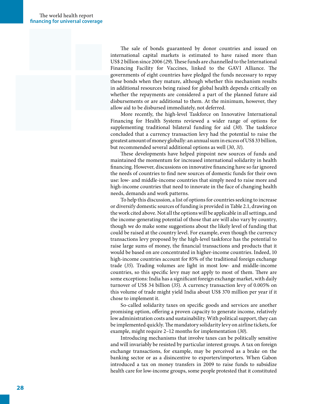The sale of bonds guaranteed by donor countries and issued on international capital markets is estimated to have raised more than US\$ 2 billion since 2006 (*29*). These funds are channelled to the International Financing Facility for Vaccines, linked to the GAVI Alliance. The governments of eight countries have pledged the funds necessary to repay these bonds when they mature, although whether this mechanism results in additional resources being raised for global health depends critically on whether the repayments are considered a part of the planned future aid disbursements or are additional to them. At the minimum, however, they allow aid to be disbursed immediately, not deferred.

More recently, the high-level Taskforce on Innovative International Financing for Health Systems reviewed a wider range of options for supplementing traditional bilateral funding for aid (*30*). The taskforce concluded that a currency transaction levy had the potential to raise the greatest amount of money globally: an annual sum in excess of US\$ 33 billion, but recommended several additional options as well (*30*, *31*).

These developments have helped pinpoint new sources of funds and maintained the momentum for increased international solidarity in health financing. However, discussions on innovative financing have so far ignored the needs of countries to find new sources of domestic funds for their own use: low- and middle-income countries that simply need to raise more and high-income countries that need to innovate in the face of changing health needs, demands and work patterns.

To help this discussion, a list of options for countries seeking to increase or diversify domestic sources of funding is provided in Table 2.1, drawing on the work cited above. Not all the options will be applicable in all settings, and the income-generating potential of those that are will also vary by country, though we do make some suggestions about the likely level of funding that could be raised at the country level. For example, even though the currency transactions levy proposed by the high-level taskforce has the potential to raise large sums of money, the financial transactions and products that it would be based on are concentrated in higher-income countries. Indeed, 10 high-income countries account for 85% of the traditional foreign exchange trade (*35*). Trading volumes are light in most low- and middle-income countries, so this specific levy may not apply to most of them. There are some exceptions: India has a significant foreign exchange market, with daily turnover of US\$ 34 billion (*35*). A currency transaction levy of 0.005% on this volume of trade might yield India about US\$ 370 million per year if it chose to implement it.

So-called solidarity taxes on specific goods and services are another promising option, offering a proven capacity to generate income, relatively low administration costs and sustainability. With political support, they can be implemented quickly. The mandatory solidarity levy on airline tickets, for example, might require 2–12 months for implementation (*30*).

Introducing mechanisms that involve taxes can be politically sensitive and will invariably be resisted by particular interest groups. A tax on foreign exchange transactions, for example, may be perceived as a brake on the banking sector or as a disincentive to exporters/importers. When Gabon introduced a tax on money transfers in 2009 to raise funds to subsidize health care for low-income groups, some people protested that it constituted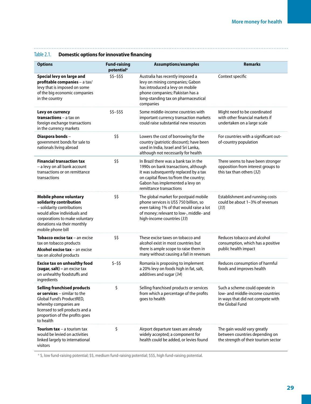Table 2.1. **Domestic options for innovative financing**

 $\ddotsc$ 

| <b>Options</b>                                                                                                                                                                                               | <b>Fund-raising</b><br>potential <sup>a</sup> | <b>Assumptions/examples</b>                                                                                                                                                                                                   | <b>Remarks</b>                                                                                                             |
|--------------------------------------------------------------------------------------------------------------------------------------------------------------------------------------------------------------|-----------------------------------------------|-------------------------------------------------------------------------------------------------------------------------------------------------------------------------------------------------------------------------------|----------------------------------------------------------------------------------------------------------------------------|
| Special levy on large and<br>profitable companies - a tax/<br>levy that is imposed on some<br>of the big economic companies<br>in the country                                                                | $$5-555$                                      | Australia has recently imposed a<br>levy on mining companies; Gabon<br>has introduced a levy on mobile<br>phone companies; Pakistan has a<br>long-standing tax on pharmaceutical<br>companies                                 | Context specific                                                                                                           |
| Levy on currency<br><b>transactions</b> – a tax on<br>foreign exchange transactions<br>in the currency markets                                                                                               | $$5-555$                                      | Some middle-income countries with<br>important currency transaction markets<br>could raise substantial new resources                                                                                                          | Might need to be coordinated<br>with other financial markets if<br>undertaken on a large scale                             |
| Diaspora bonds-<br>government bonds for sale to<br>nationals living abroad                                                                                                                                   | \$\$                                          | Lowers the cost of borrowing for the<br>country (patriotic discount); have been<br>used in India, Israel and Sri Lanka,<br>although not necessarily for health                                                                | For countries with a significant out-<br>of-country population                                                             |
| <b>Financial transaction tax</b><br>- a levy on all bank account<br>transactions or on remittance<br>transactions                                                                                            | \$\$                                          | In Brazil there was a bank tax in the<br>1990s on bank transactions, although<br>it was subsequently replaced by a tax<br>on capital flows to/from the country;<br>Gabon has implemented a levy on<br>remittance transactions | There seems to have been stronger<br>opposition from interest groups to<br>this tax than others (32)                       |
| Mobile phone voluntary<br>solidarity contribution<br>- solidarity contributions<br>would allow individuals and<br>corporations to make voluntary<br>donations via their monthly<br>mobile phone bill         | \$\$                                          | The global market for postpaid mobile<br>phone services is US\$ 750 billion, so<br>even taking 1% of that would raise a lot<br>of money; relevant to low-, middle- and<br>high-income countries (33)                          | Establishment and running costs<br>could be about 1-3% of revenues<br>(33)                                                 |
| <b>Tobacco excise tax</b> $-$ an excise<br>tax on tobacco products<br><b>Alcohol excise tax</b> $-$ an excise<br>tax on alcohol products                                                                     | \$\$                                          | These excise taxes on tobacco and<br>alcohol exist in most countries but<br>there is ample scope to raise them in<br>many without causing a fall in revenues                                                                  | Reduces tobacco and alcohol<br>consumption, which has a positive<br>public health impact                                   |
| <b>Excise tax on unhealthy food</b><br>(sugar, salt) - an excise tax<br>on unhealthy foodstuffs and<br>ingredients                                                                                           | $5 - 55$                                      | Romania is proposing to implement<br>a 20% levy on foods high in fat, salt,<br>additives and sugar (34)                                                                                                                       | Reduces consumption of harmful<br>foods and improves health                                                                |
| <b>Selling franchised products</b><br>or services $-$ similar to the<br>Global Fund's ProductRED,<br>whereby companies are<br>licensed to sell products and a<br>proportion of the profits goes<br>to health | \$                                            | Selling franchised products or services<br>from which a percentage of the profits<br>goes to health                                                                                                                           | Such a scheme could operate in<br>low- and middle-income countries<br>in ways that did not compete with<br>the Global Fund |
| <b>Tourism tax</b> – a tourism tax<br>would be levied on activities<br>linked largely to international<br>visitors                                                                                           | \$                                            | Airport departure taxes are already<br>widely accepted; a component for<br>health could be added, or levies found                                                                                                             | The gain would vary greatly<br>between countries depending on<br>the strength of their tourism sector                      |

<sup>a</sup> \$, low fund-raising potential; \$\$, medium fund-raising potential; \$\$\$, high fund-raising potential.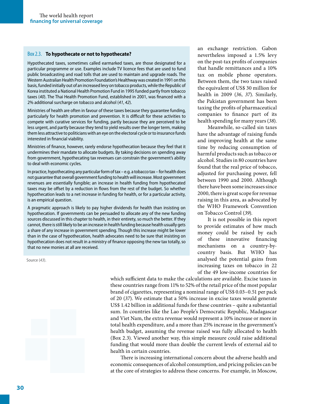#### Box 2.3. **To hypothecate or not to hypothecate?**

Hypothecated taxes, sometimes called earmarked taxes, are those designated for a particular programme or use. Examples include TV licence fees that are used to fund public broadcasting and road tolls that are used to maintain and upgrade roads. The Western Australian Health Promotion Foundation's Healthway was created in 1991 on this basis, funded initially out of an increased levy on tobacco products, while the Republic of Korea instituted a National Health Promotion Fund in 1995 funded partly from tobacco taxes (*40*). The Thai Health Promotion Fund, established in 2001, was financed with a 2% additional surcharge on tobacco and alcohol (*41*, *42*).

Ministries of health are often in favour of these taxes because they guarantee funding, particularly for health promotion and prevention. It is difficult for these activities to compete with curative services for funding, partly because they are perceived to be less urgent, and partly because they tend to yield results over the longer term, making them less attractive to politicians with an eye on the electoral cycle or to insurance funds interested in financial viability.

Ministries of finance, however, rarely endorse hypothecation because they feel that it undermines their mandate to allocate budgets. By taking decisions on spending away from government, hypothecating tax revenues can constrain the government's ability to deal with economic cycles.

In practice, hypothecating any particular form of tax – e.g. a tobacco tax – for health does not guarantee that overall government funding to health will increase. Most government revenues are essentially fungible; an increase in health funding from hypothecated taxes may be offset by a reduction in flows from the rest of the budget. So whether hypothecation leads to a net increase in funding for health, or for a particular activity, is an empirical question.

A pragmatic approach is likely to pay higher dividends for health than insisting on hypothecation. If governments can be persuaded to allocate any of the new funding sources discussed in this chapter to health, in their entirety, so much the better. If they cannot, there is still likely to be an increase in health funding because health usually gets a share of any increase in government spending. Though this increase might be lower than in the case of hypothecation, health advocates need to be sure that insisting on hypothecation does not result in a ministry of finance opposing the new tax totally, so that no new monies at all are received.

Source (*43*).



which sufficient data to make the calculations are available. Excise taxes in these countries range from 11% to 52% of the retail price of the most popular brand of cigarettes, representing a nominal range of US\$ 0.03–0.51 per pack of 20 (*37*). We estimate that a 50% increase in excise taxes would generate US\$ 1.42 billion in additional funds for these countries – quite a substantial sum. In countries like the Lao People's Democratic Republic, Madagascar and Viet Nam, the extra revenue would represent a 10% increase or more in total health expenditure, and a more than 25% increase in the government's health budget, assuming the revenue raised was fully allocated to health (Box 2.3). Viewed another way, this simple measure could raise additional funding that would more than double the current levels of external aid to health in certain countries.

There is increasing international concern about the adverse health and economic consequences of alcohol consumption, and pricing policies can be at the core of strategies to address these concerns. For example, in Moscow,

an exchange restriction. Gabon nevertheless imposed a 1.5% levy on the post-tax profits of companies that handle remittances and a 10% tax on mobile phone operators. Between them, the two taxes raised the equivalent of US\$ 30 million for health in 2009 (*36*, *37*). Similarly, the Pakistan government has been taxing the profits of pharmaceutical companies to finance part of its health spending for many years (*38*).

Meanwhile, so-called sin taxes have the advantage of raising funds and improving health at the same time by reducing consumption of harmful products such as tobacco or alcohol. Studies in 80 countries have found that the real price of tobacco, adjusted for purchasing power, fell between 1990 and 2000. Although there have been some increases since 2000, there is great scope for revenue raising in this area, as advocated by the WHO Framework Convention on Tobacco Control (*39*).

It is not possible in this report to provide estimates of how much money could be raised by each of these innovative financing mechanisms on a country-bycountry basis. But WHO has analysed the potential gains from increasing taxes on tobacco in 22 of the 49 low-income countries for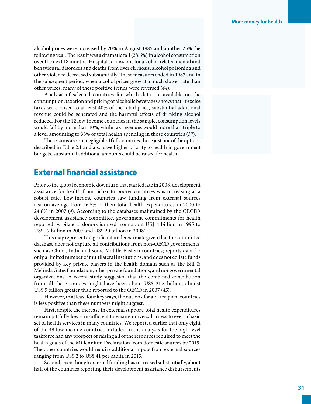alcohol prices were increased by 20% in August 1985 and another 25% the following year. The result was a dramatic fall (28.6%) in alcohol consumption over the next 18 months. Hospital admissions for alcohol-related mental and behavioural disorders and deaths from liver cirrhosis, alcohol poisoning and other violence decreased substantially. These measures ended in 1987 and in the subsequent period, when alcohol prices grew at a much slower rate than other prices, many of these positive trends were reversed (*44*).

Analysis of selected countries for which data are available on the consumption, taxation and pricing of alcoholic beverages shows that, if excise taxes were raised to at least 40% of the retail price, substantial additional revenue could be generated and the harmful effects of drinking alcohol reduced. For the 12 low-income countries in the sample, consumption levels would fall by more than 10%, while tax revenues would more than triple to a level amounting to 38% of total health spending in those countries (*37*).

These sums are not negligible. If all countries chose just one of the options described in Table 2.1 and also gave higher priority to health in government budgets, substantial additional amounts could be raised for health.

#### External financial assistance

Prior to the global economic downturn that started late in 2008, development assistance for health from richer to poorer countries was increasing at a robust rate. Low-income countries saw funding from external sources rise on average from 16.5% of their total health expenditures in 2000 to 24.8% in 2007 (*4*). According to the databases maintained by the OECD's development assistance committee, government commitments for health reported by bilateral donors jumped from about US\$ 4 billion in 1995 to US\$ 17 billion in 2007 and US\$ 20 billion in 2008 $^{\circ}$ .

This may represent a significant underestimate given that the committee database does not capture all contributions from non-OECD governments, such as China, India and some Middle-Eastern countries; reports data for only a limited number of multilateral institutions; and does not collate funds provided by key private players in the health domain such as the Bill & Melinda Gates Foundation, other private foundations, and nongovernmental organizations. A recent study suggested that the combined contribution from all these sources might have been about US\$ 21.8 billion, almost US\$ 5 billion greater than reported to the OECD in 2007 (*45*).

However, in at least four key ways, the outlook for aid-recipient countries is less positive than these numbers might suggest.

First, despite the increase in external support, total health expenditures remain pitifully low – insufficient to ensure universal access to even a basic set of health services in many countries. We reported earlier that only eight of the 49 low-income countries included in the analysis for the high-level taskforce had any prospect of raising all of the resources required to meet the health goals of the Millennium Declaration from domestic sources by 2015. The other countries would require additional inputs from external sources ranging from US\$ 2 to US\$ 41 per capita in 2015.

Second, even though external funding has increased substantially, about half of the countries reporting their development assistance disbursements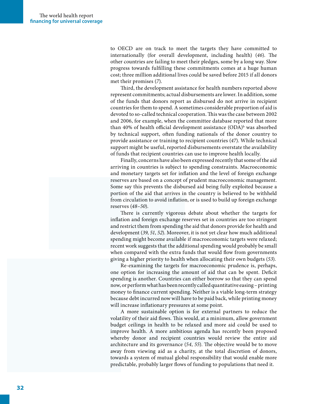to OECD are on track to meet the targets they have committed to internationally (for overall development, including health) (*46*). The other countries are failing to meet their pledges, some by a long way. Slow progress towards fulfilling these commitments comes at a huge human cost; three million additional lives could be saved before 2015 if all donors met their promises (*7*).

Third, the development assistance for health numbers reported above represent commitments; actual disbursements are lower. In addition, some of the funds that donors report as disbursed do not arrive in recipient countries for them to spend. A sometimes considerable proportion of aid is devoted to so-called technical cooperation. This was the case between 2002 and 2006, for example, when the committee database reported that more than 40% of health official development assistance (ODA)<sup>b</sup> was absorbed by technical support, often funding nationals of the donor country to provide assistance or training to recipient countries (*47*). While technical support might be useful, reported disbursements overstate the availability of funds that recipient countries can use to improve health locally.

Finally, concerns have also been expressed recently that some of the aid arriving in countries is subject to spending constraints. Macroeconomic and monetary targets set for inflation and the level of foreign exchange reserves are based on a concept of prudent macroeconomic management. Some say this prevents the disbursed aid being fully exploited because a portion of the aid that arrives in the country is believed to be withheld from circulation to avoid inflation, or is used to build up foreign exchange reserves (*48*–*50*).

There is currently vigorous debate about whether the targets for inflation and foreign exchange reserves set in countries are too stringent and restrict them from spending the aid that donors provide for health and development (*39*, *51*, *52*). Moreover, it is not yet clear how much additional spending might become available if macroeconomic targets were relaxed; recent work suggests that the additional spending would probably be small when compared with the extra funds that would flow from governments giving a higher priority to health when allocating their own budgets (*53*).

Re-examining the targets for macroeconomic prudence is, perhaps, one option for increasing the amount of aid that can be spent. Deficit spending is another. Countries can either borrow so that they can spend now, or perform what has been recently called quantitative easing – printing money to finance current spending. Neither is a viable long-term strategy because debt incurred now will have to be paid back, while printing money will increase inflationary pressures at some point.

A more sustainable option is for external partners to reduce the volatility of their aid flows. This would, at a minimum, allow government budget ceilings in health to be relaxed and more aid could be used to improve health. A more ambitious agenda has recently been proposed whereby donor and recipient countries would review the entire aid architecture and its governance (*54*, *55*). The objective would be to move away from viewing aid as a charity, at the total discretion of donors, towards a system of mutual global responsibility that would enable more predictable, probably larger flows of funding to populations that need it.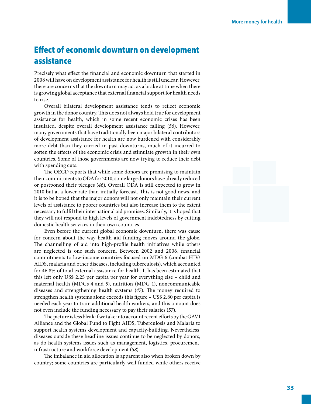# Effect of economic downturn on development assistance

Precisely what effect the financial and economic downturn that started in 2008 will have on development assistance for health is still unclear. However, there are concerns that the downturn may act as a brake at time when there is growing global acceptance that external financial support for health needs to rise.

Overall bilateral development assistance tends to reflect economic growth in the donor country. This does not always hold true for development assistance for health, which in some recent economic crises has been insulated, despite overall development assistance falling (*56*). However, many governments that have traditionally been major bilateral contributors of development assistance for health are now burdened with considerably more debt than they carried in past downturns, much of it incurred to soften the effects of the economic crisis and stimulate growth in their own countries. Some of those governments are now trying to reduce their debt with spending cuts.

The OECD reports that while some donors are promising to maintain their commitments to ODA for 2010, some large donors have already reduced or postponed their pledges (*46*). Overall ODA is still expected to grow in 2010 but at a lower rate than initially forecast. This is not good news, and it is to be hoped that the major donors will not only maintain their current levels of assistance to poorer countries but also increase them to the extent necessary to fulfil their international aid promises. Similarly, it is hoped that they will not respond to high levels of government indebtedness by cutting domestic health services in their own countries.

Even before the current global economic downturn, there was cause for concern about the way health aid funding moves around the globe. The channelling of aid into high-profile health initiatives while others are neglected is one such concern. Between 2002 and 2006, financial commitments to low-income countries focused on MDG 6 (combat HIV/ AIDS, malaria and other diseases, including tuberculosis), which accounted for 46.8% of total external assistance for health. It has been estimated that this left only US\$ 2.25 per capita per year for everything else – child and maternal health (MDGs 4 and 5), nutrition (MDG 1), noncommunicable diseases and strengthening health systems (*47*). The money required to strengthen health systems alone exceeds this figure – US\$ 2.80 per capita is needed each year to train additional health workers, and this amount does not even include the funding necessary to pay their salaries (*57*).

The picture is less bleak if we take into account recent efforts by the GAVI Alliance and the Global Fund to Fight AIDS, Tuberculosis and Malaria to support health systems development and capacity-building. Nevertheless, diseases outside these headline issues continue to be neglected by donors, as do health systems issues such as management, logistics, procurement, infrastructure and workforce development (*58*).

The imbalance in aid allocation is apparent also when broken down by country; some countries are particularly well funded while others receive

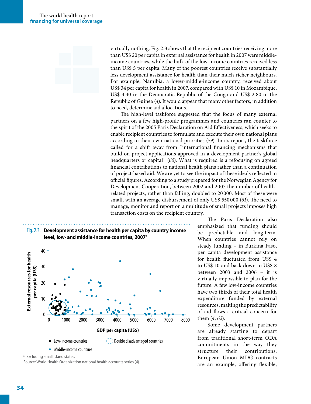virtually nothing. Fig. 2.3 shows that the recipient countries receiving more than US\$ 20 per capita in external assistance for health in 2007 were middleincome countries, while the bulk of the low-income countries received less than US\$ 5 per capita. Many of the poorest countries receive substantially less development assistance for health than their much richer neighbours. For example, Namibia, a lower-middle-income country, received about US\$ 34 per capita for health in 2007, compared with US\$ 10 in Mozambique, US\$ 4.40 in the Democratic Republic of the Congo and US\$ 2.80 in the Republic of Guinea (*4*). It would appear that many other factors, in addition to need, determine aid allocations.

The high-level taskforce suggested that the focus of many external partners on a few high-profile programmes and countries ran counter to the spirit of the 2005 Paris Declaration on Aid Effectiveness, which seeks to enable recipient countries to formulate and execute their own national plans according to their own national priorities (*59*). In its report, the taskforce called for a shift away from "international financing mechanisms that build on project applications approved in a development partner's global headquarters or capital" (*60*). What is required is a refocusing on agreed financial contributions to national health plans rather than a continuation of project-based aid. We are yet to see the impact of these ideals reflected in official figures. According to a study prepared for the Norwegian Agency for Development Cooperation, between 2002 and 2007 the number of healthrelated projects, rather than falling, doubled to 20 000. Most of these were small, with an average disbursement of only US\$ 550 000 (*61*). The need to manage, monitor and report on a multitude of small projects imposes high transaction costs on the recipient country.





<sup>&</sup>lt;sup>a</sup> Excluding small island states.

Source: World Health Organization national health accounts series (*4*).

The Paris Declaration also emphasized that funding should be predictable and long-term. When countries cannot rely on steady funding – in Burkina Faso, per capita development assistance for health fluctuated from US\$ 4 to US\$ 10 and back down to US\$ 8 between 2003 and 2006 – it is virtually impossible to plan for the future. A few low-income countries have two thirds of their total health expenditure funded by external resources, making the predictability of aid flows a critical concern for them (*4*, *62*).

Some development partners are already starting to depart from traditional short-term ODA commitments in the way they structure their contributions. European Union MDG contracts are an example, offering flexible,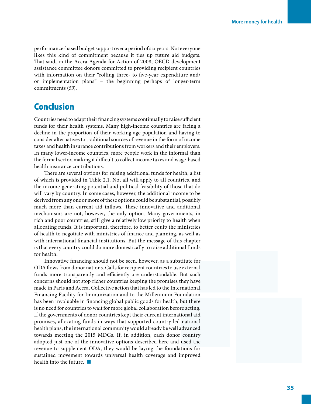performance-based budget support over a period of six years. Not everyone likes this kind of commitment because it ties up future aid budgets. That said, in the Accra Agenda for Action of 2008, OECD development assistance committee donors committed to providing recipient countries with information on their "rolling three- to five-year expenditure and/ or implementation plans" – the beginning perhaps of longer-term commitments (*59*).

### Conclusion

Countries need to adapt their financing systems continually to raise sufficient funds for their health systems. Many high-income countries are facing a decline in the proportion of their working-age population and having to consider alternatives to traditional sources of revenue in the form of income taxes and health insurance contributions from workers and their employers. In many lower-income countries, more people work in the informal than the formal sector, making it difficult to collect income taxes and wage-based health insurance contributions.

There are several options for raising additional funds for health, a list of which is provided in Table 2.1. Not all will apply to all countries, and the income-generating potential and political feasibility of those that do will vary by country. In some cases, however, the additional income to be derived from any one or more of these options could be substantial, possibly much more than current aid inflows. These innovative and additional mechanisms are not, however, the only option. Many governments, in rich and poor countries, still give a relatively low priority to health when allocating funds. It is important, therefore, to better equip the ministries of health to negotiate with ministries of finance and planning, as well as with international financial institutions. But the message of this chapter is that every country could do more domestically to raise additional funds for health.

Innovative financing should not be seen, however, as a substitute for ODA flows from donor nations. Calls for recipient countries to use external funds more transparently and efficiently are understandable. But such concerns should not stop richer countries keeping the promises they have made in Paris and Accra. Collective action that has led to the International Financing Facility for Immunization and to the Millennium Foundation has been invaluable in financing global public goods for health, but there is no need for countries to wait for more global collaboration before acting. If the governments of donor countries kept their current international aid promises, allocating funds in ways that supported country-led national health plans, the international community would already be well advanced towards meeting the 2015 MDGs. If, in addition, each donor country adopted just one of the innovative options described here and used the revenue to supplement ODA, they would be laying the foundations for sustained movement towards universal health coverage and improved health into the future.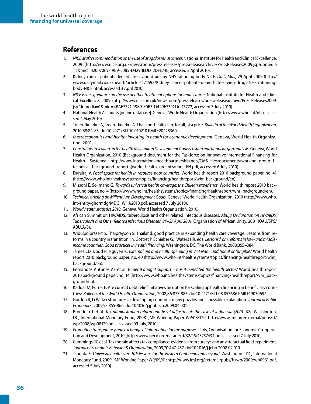#### **References**

- 1. *NICE draft recommendation on the use of drugs for renal cancer*. National Institute for Health and Clinical Excellence, 2009 (http://www.nice.org.uk/newsroom/pressreleases/pressreleasearchive/PressReleases2009.jsp?domedia =1&mid=42007069-19B9-E0B5-D429BEDD12DFE74E, accessed 3 April 2010).
- 2. Kidney cancer patients denied life-saving drugs by NHS rationing body NICE. *Daily Mail,* 29 April 2009 (http:// www.dailymail.co.uk/health/article-1174592/Kidney-cancer-patients-denied-life-saving-drugs-NHS-rationingbody-NICE.html, accessed 3 April 2010).
- 3. *NICE issues guidance on the use of other treatment options for renal cancer*. National Institute for Health and Clinical Excellence, 2009 (http://www.nice.org.uk/newsroom/pressreleases/pressreleasearchive/PressReleases2009. jsp?domedia=1&mid=4BAE772C-19B9-E0B5-D449E739CDCD7772, accessed 7 July 2010).
- 4. National Health Accounts [online database]. Geneva, World Health Organization (http://www.who.int/nha, accessed 4 May 2010).
- 5.. Treerutkuarkul A, Treerutkuarkul A. Thailand: health care for all, at a price. *Bulletin of the World Health Organization*, 2010,88:84-85. doi:10.2471/BLT.10.010210 PMID:20428360
- 6. *Macroeconomics and health: investing in health for economic development*. Geneva, World Health Organization, 2001.
- 7. *Constraints to scaling up the health Millennium Development Goals: costing and financial gap analysis.* Geneva, World Health Organization, 2010 (Background document for the Taskforce on Innovative International Financing for Health Systems; http://www.internationalhealthpartnership.net//CMS\_files/documents/working\_group\_1\_ technical\_background\_report\_(world\_health\_organization)\_EN.pdf, accessed 6 July 2010).
- 8. Durairaj V. *Fiscal space for health in resource-poor countries*. World health report 2010 background paper, no. 41 (http://www.who.int/healthsystems/topics/financing/healthreport/whr\_background/en).
- 9. Missoni E, Solimano G. *Towards universal health coverage: the Chilean experience.* World health report 2010 background paper, no. 4 (http://www.who.int/healthsystems/topics/financing/healthreport/whr\_background/en).
- 10. *Technical briefing on Millennium Development Goals.* Geneva, World Health Organization, 2010 (http://www.who. int/entity/gho/mdg/MDG\_WHA2010.pdf, accessed 7 July 2010).
- 11. *World health statistics 2010.* Geneva, World Health Organization, 2010.
- 12. African Summit on HIV/AIDS, tuberculosis and other related infectious diseases. *Abuja Declaration on HIV/AIDS, Tuberculosis and Other Related Infectious Diseases, 24–27 April 2001.* Organisation of African Unity, 2001 (OAU/SPS/ ABUJA/3).
- 13. Wibulpolprasert S, Thaiprayoon S. Thailand: good practice in expanding health care coverage. Lessons from reforms in a country in transition. In: Gottret P, Schieber GJ, Waters HR, eds. *Lessons from reforms in low- and middleincome countries. Good practices in health financing*. Washington, DC, The World Bank, 2008:355–384.
- 14. James CD, Dodd R, Nguyen K. *External aid and health spending in Viet Nam: additional or fungible?* World health report 2010 background paper, no. 40 (http://www.who.int/healthsystems/topics/financing/healthreport/whr\_ background/en).
- 15. Fernandes Antunes AF et al. *General budget support has it benefited the health sector?* World health report 2010 background paper, no. 14 (http://www.who.int/healthsystems/topics/financing/healthreport/whr\_background/en).
- 16. Kaddar M, Furrer E. Are current debt relief initiatives an option for scaling up health financing in beneficiary countries? *Bulletin of the World Health Organization*, 2008,86:877-883. doi:10.2471/BLT.08.053686 PMID:19030694
- 17. Gordon R, Li W. Tax structures in developing countries: many puzzles and a possible explanation. *Journal of Public Economics*, 2009,93:855-866. doi:10.1016/j.jpubeco.2009.04.001
- 18. Brondolo J et al. *Tax administration reform and fiscal adjustment: the case of Indonesia (2001–07).* Washington, DC, International Monetary Fund, 2008 (IMF Working Paper WP/08/129; http://www.imf.org/external/pubs/ft/ wp/2008/wp08129.pdf, accessed 09 July, 2010).
- 19. *Promoting transparency and exchange of information for tax purposes*. Paris, Organisation for Economic Co-operation and Development, 2010 (http://www.oecd.org/dataoecd/32/45/43757434.pdf, accessed 7 July 2010).
- 20. Cummings RG et al. Tax morale affects tax compliance: evidence from surveys and an artefactual field experiment. *Journal of Economic Behavior & Organization*, 2009,70:447-457. doi:10.1016/j.jebo.2008.02.010
- 21. Tsounta E. *Universal health care 101: lessons for the Eastern Caribbean and beyond*. Washington, DC, International Monetary Fund, 2009 (IMF Working Paper WP/09/61; http://www.imf.org/external/pubs/ft/wp/2009/wp0961.pdf, accessed 5 July 2010).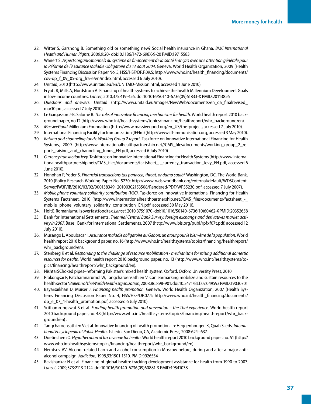- 22. Witter S, Garshong B. Something old or something new? Social health insurance in Ghana. *BMC International Health and Human Rights*, 2009,9:20- doi:10.1186/1472-698X-9-20 PMID:19715583
- 23. Wanert S. *Aspects organisationnels du système de financement de la santé Français avec une attention générale pour la Réforme de l'Assurance Maladie Obligatoire du 13 août 2004*. Geneva, World Health Organization, 2009 (Health Systems Financing Discussion Paper No. 5, HSS/HSF/DP.F.09.5; http://www.who.int/health\_financing/documents/ cov-dp\_f\_09\_05-org\_fra-e/en/index.html, accessed 6 July 2010).
- 24. Unitaid, 2010 (http://www.unitaid.eu/en/UNITAID-Mission.html, accessed 1 June 2010).
- 25. Fryatt R, Mills A, Nordstrom A. Financing of health systems to achieve the health Millennium Development Goals in low-income countries. *Lancet*, 2010,375:419-426. doi:10.1016/S0140-6736(09)61833-X PMID:20113826
- 26. *Questions and answers*. Unitaid (http://www.unitaid.eu/images/NewWeb/documents/en\_qa\_finalrevised\_ mar10.pdf, accessed 7 July 2010).
- 27. Le Gargasson J-B, Salomé B. *The role of innovative financing mechanisms for health.* World health report 2010 background paper, no.12 (http://www.who.int/healthsystems/topics/financing/healthreport/whr\_background/en).
- 28. *MassiveGood*. Millenium Foundation (http://www.massivegood.org/en\_US/the-project, accessed 7 July 2010).
- 29. International Financing Facility for Immunization (IFFIm) (http://www.iff-immunisation.org, accessed 3 May 2010).
- 30. *Raising and channeling funds: Working Group 2 report*. Taskforce on Innovative International Financing for Health Systems, 2009 (http://www.internationalhealthpartnership.net//CMS\_files/documents/working\_group\_2\_report: raising and channeling funds EN.pdf, accessed 6 July 2010).
- 31. *Currency transaction levy.* Taskforce on Innovative International Financing for Health Systems (http://www.internationalhealthpartnership.net//CMS\_files/documents/factsheet\_-\_currency\_transaction\_levy\_EN.pdf, accessed 6 June 2010).
- 32. Honohan P, Yoder S. *Financial transactions tax panacea, threat, or damp squib?* Washington, DC, The World Bank, 2010 (Policy Research Working Paper No. 5230; http://www-wds.worldbank.org/external/default/WDSContent-Server/IW3P/IB/2010/03/02/000158349\_20100302153508/Rendered/PDF/WPS5230.pdf, accessed 7 July 2007).
- 33. *Mobile phone voluntary solidarity contribution (VSC)*. Taskforce on Innovative International Financing for Health Systems Factsheet, 2010 (http://www.internationalhealthpartnership.net//CMS\_files/documents/factsheet\_-\_ mobile\_phone\_voluntary\_solidarity\_contribution\_EN.pdf, accessed 30 May 2010).
- 34. Holt E. Romania mulls over fast food tax. *Lancet*, 2010,375:1070- doi:10.1016/S0140-6736(10)60462-X PMID:20352658
- 35. Bank for International Settlements. *Triennial Central Bank Survey: foreign exchange and derivatives market activity in 2007.* Basel, Bank for International Settlements, 2007 (http://www.bis.org/publ/rpfxf07t.pdf, accessed 12 July 2010).
- 36. Musango L, Aboubacar I. *Assurance maladie obligatoire au Gabon: un atout pour le bien-être de la population.* World health report 2010 background paper, no. 16 (http://www.who.int/healthsystems/topics/financing/healthreport/ whr\_background/en).
- 37. Stenberg K et al. *Responding to the challenge of resource mobilization mechanisms for raising additional domestic resources for health*. World health report 2010 background paper, no. 13 (http://www.who.int/healthsystems/topics/financing/healthreport/whr\_background/en).
- 38. NishtarSChoked pipes–reforming Pakistan's mixed health system. Oxford, Oxford University Press, 2010
- 39. Prakongsai P, Patcharanarumol W, Tangcharoensathien V. Can earmarking mobilize and sustain resources to the health sector? *Bulletin of the World Health Organization*, 2008,86:898-901. doi:10.2471/BLT.07.049593 PMID:19030701
- 40. Bayarsaikhan D, Muiser J. *Financing health promotion*. Geneva, World Health Organization, 2007 (Health Systems Financing Discussion Paper No. 4, HSS/HSF/DP.07.4; http://www.who.int/health\_financing/documents/ dp\_e\_07\_4-health\_promotion.pdf, accessed 6 July 2010).
- 41. Srithamrongswat S et al. *Funding health promotion and prevention the Thai experience*. World health report 2010 background paper, no. 48 (http://www.who.int/healthsystems/topics/financing/healthreport/whr\_background/en) .
- 42. Tangcharoensathien V et al. Innovative financing of health promotion. In: Heggenhougen K, Quah S, eds. *International Encyclopedia of Public Health*, 1st edn. San Diego, CA, Academic Press, 2008:624–637.
- 43. Doetinchem O. *Hypothecation of tax revenue for health*. World health report 2010 background paper, no. 51 (http:// www.who.int/healthsystems/topics/financing/healthreport/whr\_background/en).
- 44. Nemtsov AV. Alcohol-related harm and alcohol consumption in Moscow before, during and after a major antialcohol campaign. *Addiction*, 1998,93:1501-1510. PMID:9926554
- 45. Ravishankar N et al. Financing of global health: tracking development assistance for health from 1990 to 2007. *Lancet*, 2009,373:2113-2124. doi:10.1016/S0140-6736(09)60881-3 PMID:19541038